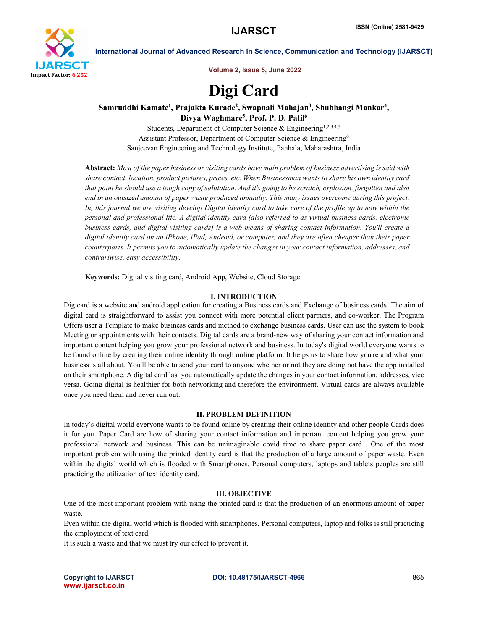

International Journal of Advanced Research in Science, Communication and Technology (IJARSCT)

Volume 2, Issue 5, June 2022

# Digi Card

## Samruddhi Kamate<sup>1</sup>, Prajakta Kurade<sup>2</sup>, Swapnali Mahajan<sup>3</sup>, Shubhangi Mankar<sup>4</sup>, Divya Waghmare<sup>5</sup>, Prof. P. D. Patil<sup>6</sup>

Students, Department of Computer Science & Engineering<sup>1,2,3,4,5</sup> Assistant Professor, Department of Computer Science & Engineering6 Sanjeevan Engineering and Technology Institute, Panhala, Maharashtra, India

Abstract: *Most of the paper business or visiting cards have main problem of business advertising is said with share contact, location, product pictures, prices, etc. When Businessman wants to share his own identity card that point he should use a tough copy of salutation. And it's going to be scratch, explosion, forgotten and also end in an outsized amount of paper waste produced annually. This many issues overcome during this project. In, this journal we are visiting develop Digital identity card to take care of the profile up to now within the personal and professional life. A digital identity card (also referred to as virtual business cards, electronic business cards, and digital visiting cards) is a web means of sharing contact information. You'll create a digital identity card on an iPhone, iPad, Android, or computer, and they are often cheaper than their paper counterparts. It permits you to automatically update the changes in your contact information, addresses, and contrariwise, easy accessibility.*

Keywords: Digital visiting card, Android App, Website, Cloud Storage.

## I. INTRODUCTION

Digicard is a website and android application for creating a Business cards and Exchange of business cards. The aim of digital card is straightforward to assist you connect with more potential client partners, and co-worker. The Program Offers user a Template to make business cards and method to exchange business cards. User can use the system to book Meeting or appointments with their contacts. Digital cards are a brand-new way of sharing your contact information and important content helping you grow your professional network and business. In today's digital world everyone wants to be found online by creating their online identity through online platform. It helps us to share how you're and what your business is all about. You'll be able to send your card to anyone whether or not they are doing not have the app installed on their smartphone. A digital card last you automatically update the changes in your contact information, addresses, vice versa. Going digital is healthier for both networking and therefore the environment. Virtual cards are always available once you need them and never run out.

## II. PROBLEM DEFINITION

In today's digital world everyone wants to be found online by creating their online identity and other people Cards does it for you. Paper Card are how of sharing your contact information and important content helping you grow your professional network and business. This can be unimaginable covid time to share paper card . One of the most important problem with using the printed identity card is that the production of a large amount of paper waste. Even within the digital world which is flooded with Smartphones, Personal computers, laptops and tablets peoples are still practicing the utilization of text identity card.

## III. OBJECTIVE

One of the most important problem with using the printed card is that the production of an enormous amount of paper waste.

Even within the digital world which is flooded with smartphones, Personal computers, laptop and folks is still practicing the employment of text card.

It is such a waste and that we must try our effect to prevent it.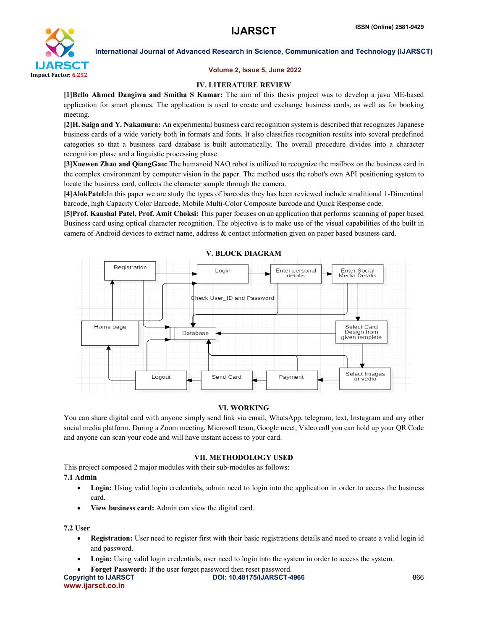

International Journal of Advanced Research in Science, Communication and Technology (IJARSCT)

## Volume 2, Issue 5, June 2022

## IV. LITERATURE REVIEW

[1]Bello Ahmed Dangiwa and Smitha S Kumar: The aim of this thesis project was to develop a java ME-based application for smart phones. The application is used to create and exchange business cards, as well as for booking meeting.

[2]H. Saiga and Y. Nakamura: An experimental business card recognition system is described that recognizes Japanese business cards of a wide variety both in formats and fonts. It also classifies recognition results into several predefined categories so that a business card database is built automatically. The overall procedure divides into a character recognition phase and a linguistic processing phase.

[3]Xuewen Zhao and QiangGao: The humanoid NAO robot is utilized to recognize the mailbox on the business card in the complex environment by computer vision in the paper. The method uses the robot's own API positioning system to locate the business card, collects the character sample through the camera.

[4]AlokPatel:In this paper we are study the types of barcodes they has been reviewed include straditional 1-Dimentinal barcode, high Capacity Color Barcode, Mobile Multi-Color Composite barcode and Quick Response code.

[5]Prof. Kaushal Patel, Prof. Amit Choksi: This paper focuses on an application that performs scanning of paper based Business card using optical character recognition. The objective is to make use of the visual capabilities of the built in camera of Android devices to extract name, address & contact information given on paper based business card.



## VI. WORKING

You can share digital card with anyone simply send link via email, WhatsApp, telegram, text, Instagram and any other social media platform. During a Zoom meeting, Microsoft team, Google meet, Video call you can hold up your QR Code and anyone can scan your code and will have instant access to your card.

## VII. METHODOLOGY USED

This project composed 2 major modules with their sub-modules as follows:

## 7.1 Admin

- Login: Using valid login credentials, admin need to login into the application in order to access the business card.
- View business card: Admin can view the digital card.

7.2 User

- Registration: User need to register first with their basic registrations details and need to create a valid login id and password.
- Login: Using valid login credentials, user need to login into the system in order to access the system.
- Forget Password: If the user forget password then reset password.

```
Copyright to IJARSCT DOI: 10.48175/IJARSCT-4966 866
www.ijarsct.co.in
```